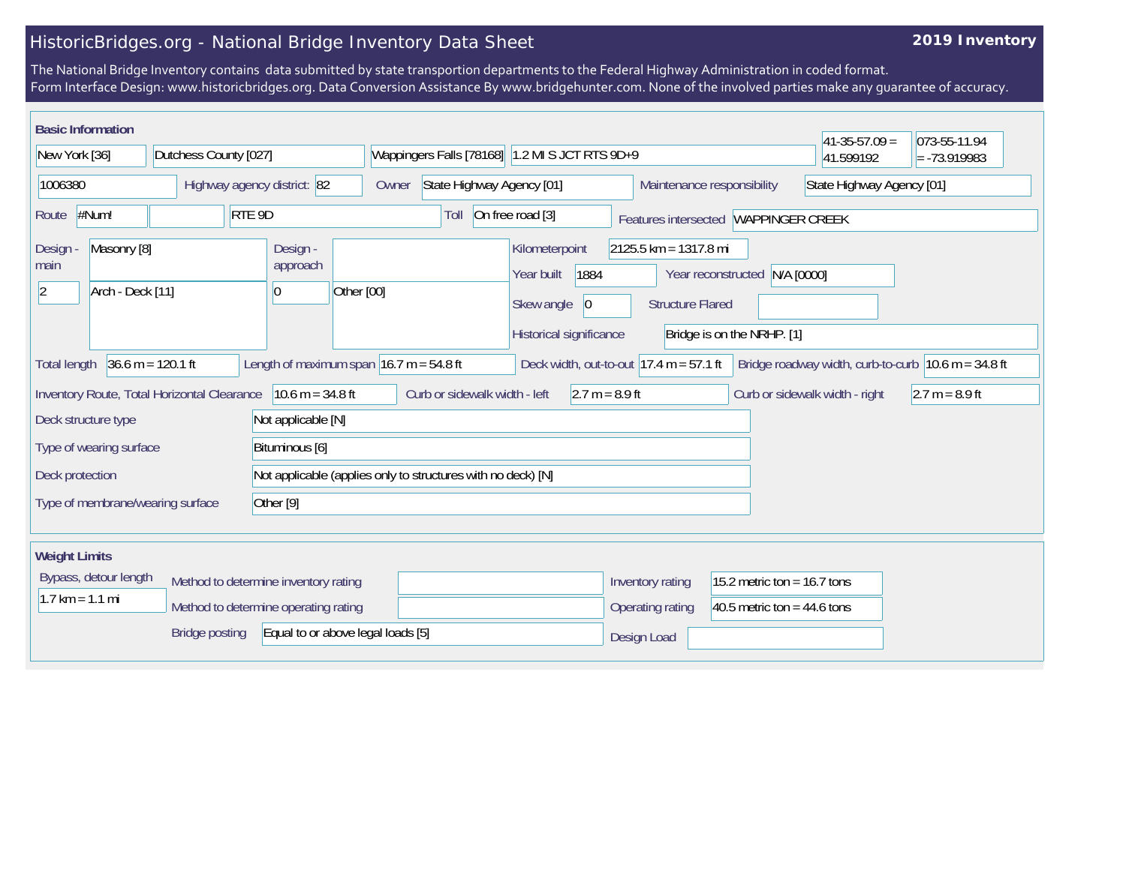## HistoricBridges.org - National Bridge Inventory Data Sheet

## **2019 Inventory**

The National Bridge Inventory contains data submitted by state transportion departments to the Federal Highway Administration in coded format. Form Interface Design: www.historicbridges.org. Data Conversion Assistance By www.bridgehunter.com. None of the involved parties make any guarantee of accuracy.

| <b>Basic Information</b>                                          |                                                                              |                                                              |                                                         |                                                                                              |                                                    |                                                                | $ 41-35-57.09 $                                                         | 073-55-11.94     |
|-------------------------------------------------------------------|------------------------------------------------------------------------------|--------------------------------------------------------------|---------------------------------------------------------|----------------------------------------------------------------------------------------------|----------------------------------------------------|----------------------------------------------------------------|-------------------------------------------------------------------------|------------------|
| New York [36]                                                     | Dutchess County [027]                                                        |                                                              | Wappingers Falls [78168] 1.2 MI S JCT RTS 9D+9          |                                                                                              |                                                    | 41.599192                                                      | $= -73.919983$                                                          |                  |
| Highway agency district: 82<br>1006380                            |                                                                              | Owner                                                        | State Highway Agency [01]<br>Maintenance responsibility |                                                                                              |                                                    | State Highway Agency [01]                                      |                                                                         |                  |
| #Num!<br>RTE 9D<br>Route                                          |                                                                              |                                                              | Toll                                                    | On free road [3]                                                                             |                                                    | Features intersected WAPPINGER CREEK                           |                                                                         |                  |
| Masonry [8]<br>Design<br>main<br>Arch - Deck [11]<br>$ 2\rangle$  |                                                                              | Design -<br>approach<br>$\overline{0}$                       | Other [00]                                              | Kilometerpoint<br>1884<br>Year built<br>Skew angle<br>$ 0\rangle$<br>Historical significance | $2125.5$ km = 1317.8 mi<br><b>Structure Flared</b> | Year reconstructed N/A [0000]<br>Bridge is on the NRHP. [1]    |                                                                         |                  |
| <b>Total length</b>                                               | $36.6 m = 120.1 ft$                                                          |                                                              | Length of maximum span $ 16.7 m = 54.8 ft$              | Deck width, out-to-out $17.4 \text{ m} = 57.1 \text{ ft}$                                    |                                                    |                                                                | Bridge roadway width, curb-to-curb $ 10.6 \text{ m} = 34.8 \text{ ft} $ |                  |
| $10.6 m = 34.8 ft$<br>Inventory Route, Total Horizontal Clearance |                                                                              |                                                              | Curb or sidewalk width - left<br>$2.7 m = 8.9 ft$       |                                                                                              |                                                    |                                                                | Curb or sidewalk width - right                                          | $2.7 m = 8.9 ft$ |
| Deck structure type                                               |                                                                              | Not applicable [N]                                           |                                                         |                                                                                              |                                                    |                                                                |                                                                         |                  |
| Type of wearing surface<br>Bituminous [6]                         |                                                                              |                                                              |                                                         |                                                                                              |                                                    |                                                                |                                                                         |                  |
| Deck protection                                                   |                                                                              | Not applicable (applies only to structures with no deck) [N] |                                                         |                                                                                              |                                                    |                                                                |                                                                         |                  |
| Type of membrane/wearing surface<br>Other <sup>[9]</sup>          |                                                                              |                                                              |                                                         |                                                                                              |                                                    |                                                                |                                                                         |                  |
| <b>Weight Limits</b>                                              |                                                                              |                                                              |                                                         |                                                                                              |                                                    |                                                                |                                                                         |                  |
| Bypass, detour length<br>$1.7 \text{ km} = 1.1 \text{ mi}$        | Method to determine inventory rating<br>Method to determine operating rating |                                                              |                                                         |                                                                                              | Inventory rating<br>Operating rating               | 15.2 metric ton = $16.7$ tons<br>40.5 metric ton = $44.6$ tons |                                                                         |                  |
|                                                                   | <b>Bridge posting</b>                                                        | Equal to or above legal loads [5]                            |                                                         |                                                                                              | Design Load                                        |                                                                |                                                                         |                  |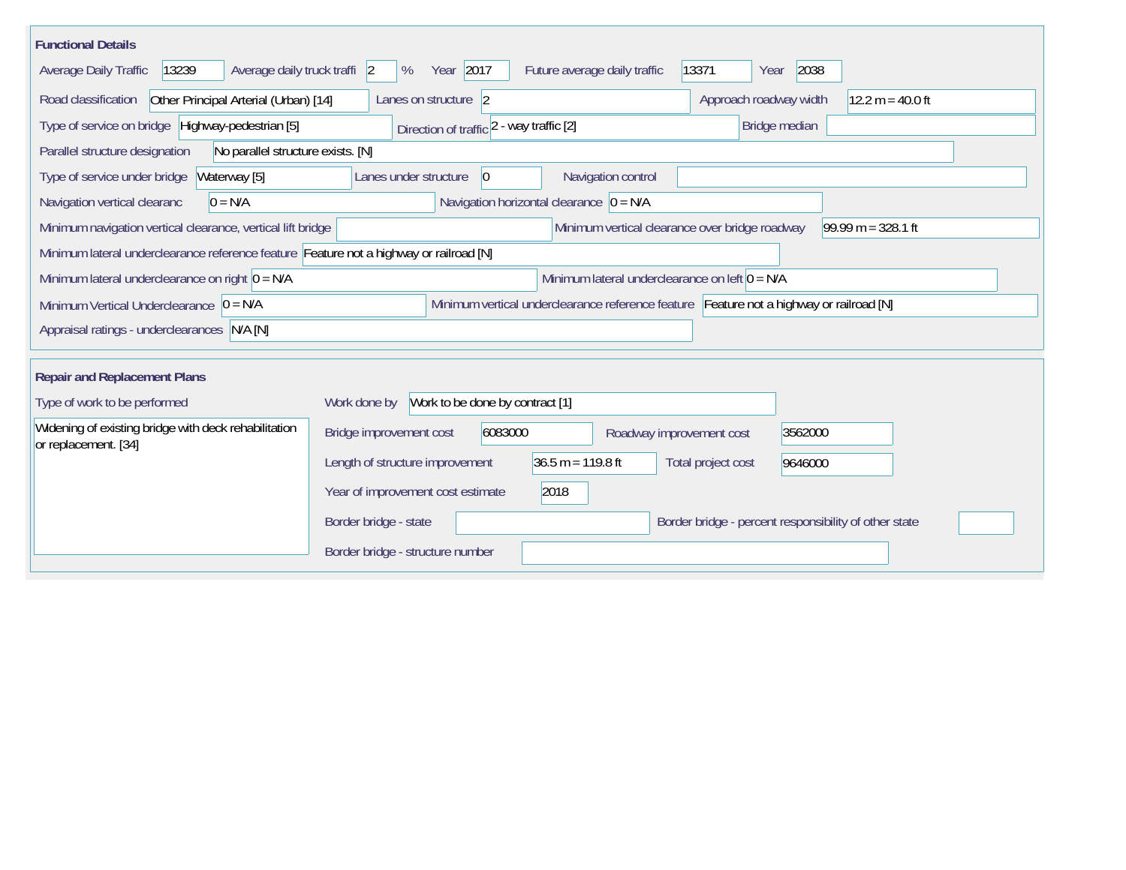| <b>Functional Details</b>                                                              |                                                  |                 |                                                                                         |                          |       |                                                |         |                                                       |
|----------------------------------------------------------------------------------------|--------------------------------------------------|-----------------|-----------------------------------------------------------------------------------------|--------------------------|-------|------------------------------------------------|---------|-------------------------------------------------------|
| Average daily truck traffi 2<br>13239<br>Average Daily Traffic                         | Year 2017<br>%                                   |                 | Future average daily traffic                                                            |                          | 13371 | Year                                           | 2038    |                                                       |
| Road classification<br>Other Principal Arterial (Urban) [14]                           | Lanes on structure 2                             |                 |                                                                                         |                          |       | Approach roadway width                         |         | $12.2 m = 40.0 ft$                                    |
| Type of service on bridge Highway-pedestrian [5]                                       | Direction of traffic 2 - way traffic [2]         |                 |                                                                                         |                          |       | Bridge median                                  |         |                                                       |
| Parallel structure designation<br>No parallel structure exists. [N]                    |                                                  |                 |                                                                                         |                          |       |                                                |         |                                                       |
| Type of service under bridge<br>Waterway [5]                                           | Lanes under structure                            | $\vert 0 \vert$ |                                                                                         | Navigation control       |       |                                                |         |                                                       |
| Navigation vertical clearanc<br>$0 = N/A$                                              |                                                  |                 | Navigation horizontal clearance $ 0 = N/A $                                             |                          |       |                                                |         |                                                       |
| Minimum navigation vertical clearance, vertical lift bridge                            |                                                  |                 |                                                                                         |                          |       | Minimum vertical clearance over bridge roadway |         | $99.99 m = 328.1 ft$                                  |
| Minimum lateral underclearance reference feature Feature not a highway or railroad [N] |                                                  |                 |                                                                                         |                          |       |                                                |         |                                                       |
| Minimum lateral underclearance on right $0 = N/A$                                      | Minimum lateral underclearance on left $0 = N/A$ |                 |                                                                                         |                          |       |                                                |         |                                                       |
| Minimum Vertical Underclearance $ 0 = N/A$                                             |                                                  |                 | Minimum vertical underclearance reference feature Feature not a highway or railroad [N] |                          |       |                                                |         |                                                       |
| Appraisal ratings - underclearances N/A [N]                                            |                                                  |                 |                                                                                         |                          |       |                                                |         |                                                       |
|                                                                                        |                                                  |                 |                                                                                         |                          |       |                                                |         |                                                       |
| <b>Repair and Replacement Plans</b>                                                    |                                                  |                 |                                                                                         |                          |       |                                                |         |                                                       |
| Type of work to be performed                                                           | Work to be done by contract [1]<br>Work done by  |                 |                                                                                         |                          |       |                                                |         |                                                       |
| Widening of existing bridge with deck rehabilitation<br>or replacement. [34]           | Bridge improvement cost                          | 6083000         |                                                                                         | Roadway improvement cost |       |                                                | 3562000 |                                                       |
|                                                                                        | Length of structure improvement                  |                 | $36.5 m = 119.8 ft$                                                                     |                          |       | Total project cost                             | 9646000 |                                                       |
|                                                                                        | Year of improvement cost estimate                |                 | 2018                                                                                    |                          |       |                                                |         |                                                       |
|                                                                                        | Border bridge - state                            |                 |                                                                                         |                          |       |                                                |         | Border bridge - percent responsibility of other state |
|                                                                                        | Border bridge - structure number                 |                 |                                                                                         |                          |       |                                                |         |                                                       |